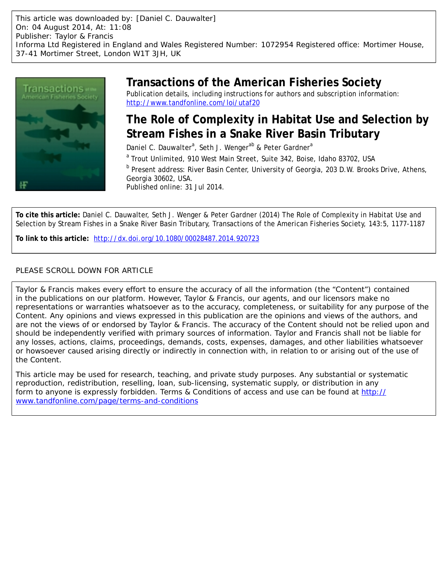This article was downloaded by: [Daniel C. Dauwalter] On: 04 August 2014, At: 11:08 Publisher: Taylor & Francis Informa Ltd Registered in England and Wales Registered Number: 1072954 Registered office: Mortimer House, 37-41 Mortimer Street, London W1T 3JH, UK



## **Transactions of the American Fisheries Society**

Publication details, including instructions for authors and subscription information: <http://www.tandfonline.com/loi/utaf20>

# **The Role of Complexity in Habitat Use and Selection by Stream Fishes in a Snake River Basin Tributary**

Daniel C. Dauwalter<sup>a</sup>, Seth J. Wenger<sup>ab</sup> & Peter Gardner<sup>a</sup>

<sup>a</sup> Trout Unlimited, 910 West Main Street, Suite 342, Boise, Idaho 83702, USA

**b** Present address: River Basin Center, University of Georgia, 203 D.W. Brooks Drive, Athens, Georgia 30602, USA.

Published online: 31 Jul 2014.

**To cite this article:** Daniel C. Dauwalter, Seth J. Wenger & Peter Gardner (2014) The Role of Complexity in Habitat Use and Selection by Stream Fishes in a Snake River Basin Tributary, Transactions of the American Fisheries Society, 143:5, 1177-1187

**To link to this article:** <http://dx.doi.org/10.1080/00028487.2014.920723>

### PLEASE SCROLL DOWN FOR ARTICLE

Taylor & Francis makes every effort to ensure the accuracy of all the information (the "Content") contained in the publications on our platform. However, Taylor & Francis, our agents, and our licensors make no representations or warranties whatsoever as to the accuracy, completeness, or suitability for any purpose of the Content. Any opinions and views expressed in this publication are the opinions and views of the authors, and are not the views of or endorsed by Taylor & Francis. The accuracy of the Content should not be relied upon and should be independently verified with primary sources of information. Taylor and Francis shall not be liable for any losses, actions, claims, proceedings, demands, costs, expenses, damages, and other liabilities whatsoever or howsoever caused arising directly or indirectly in connection with, in relation to or arising out of the use of the Content.

This article may be used for research, teaching, and private study purposes. Any substantial or systematic reproduction, redistribution, reselling, loan, sub-licensing, systematic supply, or distribution in any form to anyone is expressly forbidden. Terms & Conditions of access and use can be found at [http://](http://www.tandfonline.com/page/terms-and-conditions) [www.tandfonline.com/page/terms-and-conditions](http://www.tandfonline.com/page/terms-and-conditions)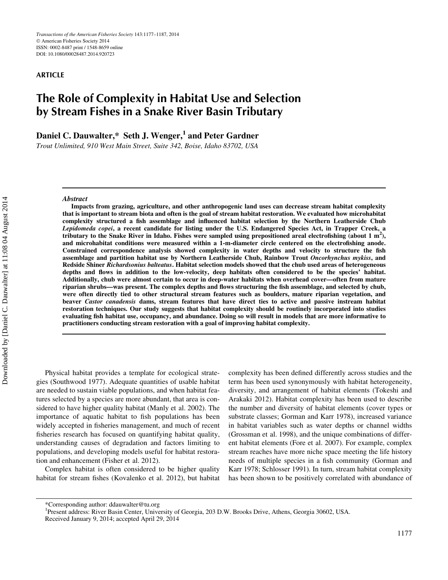#### ARTICLE

### The Role of Complexity in Habitat Use and Selection by Stream Fishes in a Snake River Basin Tributary

Daniel C. Dauwalter,\* Seth J. Wenger,<sup>1</sup> and Peter Gardner

Trout Unlimited, 910 West Main Street, Suite 342, Boise, Idaho 83702, USA

#### Abstract

Impacts from grazing, agriculture, and other anthropogenic land uses can decrease stream habitat complexity that is important to stream biota and often is the goal of stream habitat restoration. We evaluated how microhabitat complexity structured a fish assemblage and influenced habitat selection by the Northern Leatherside Chub Lepidomeda copei, a recent candidate for listing under the U.S. Endangered Species Act, in Trapper Creek, a tributary to the Snake River in Idaho. Fishes were sampled using prepositioned areal electrofishing (about 1  $m^2$ ), and microhabitat conditions were measured within a 1-m-diameter circle centered on the electrofishing anode. Constrained correspondence analysis showed complexity in water depths and velocity to structure the fish assemblage and partition habitat use by Northern Leatherside Chub, Rainbow Trout Oncorhynchus mykiss, and Redside Shiner Richardsonius balteatus. Habitat selection models showed that the chub used areas of heterogeneous depths and flows in addition to the low-velocity, deep habitats often considered to be the species' habitat. Additionally, chub were almost certain to occur in deep-water habitats when overhead cover—often from mature riparian shrubs—was present. The complex depths and flows structuring the fish assemblage, and selected by chub, were often directly tied to other structural stream features such as boulders, mature riparian vegetation, and beaver Castor canadensis dams, stream features that have direct ties to active and passive instream habitat restoration techniques. Our study suggests that habitat complexity should be routinely incorporated into studies evaluating fish habitat use, occupancy, and abundance. Doing so will result in models that are more informative to practitioners conducting stream restoration with a goal of improving habitat complexity.

Physical habitat provides a template for ecological strategies (Southwood 1977). Adequate quantities of usable habitat are needed to sustain viable populations, and when habitat features selected by a species are more abundant, that area is considered to have higher quality habitat (Manly et al. 2002). The importance of aquatic habitat to fish populations has been widely accepted in fisheries management, and much of recent fisheries research has focused on quantifying habitat quality, understanding causes of degradation and factors limiting to populations, and developing models useful for habitat restoration and enhancement (Fisher et al. 2012).

Complex habitat is often considered to be higher quality habitat for stream fishes (Kovalenko et al. 2012), but habitat complexity has been defined differently across studies and the term has been used synonymously with habitat heterogeneity, diversity, and arrangement of habitat elements (Tokeshi and Arakaki 2012). Habitat complexity has been used to describe the number and diversity of habitat elements (cover types or substrate classes; Gorman and Karr 1978), increased variance in habitat variables such as water depths or channel widths (Grossman et al. 1998), and the unique combinations of different habitat elements (Fore et al. 2007). For example, complex stream reaches have more niche space meeting the life history needs of multiple species in a fish community (Gorman and Karr 1978; Schlosser 1991). In turn, stream habitat complexity has been shown to be positively correlated with abundance of

<sup>\*</sup>Corresponding author: ddauwalter@tu.org

<sup>&</sup>lt;sup>1</sup>Present address: River Basin Center, University of Georgia, 203 D.W. Brooks Drive, Athens, Georgia 30602, USA.

Received January 9, 2014; accepted April 29, 2014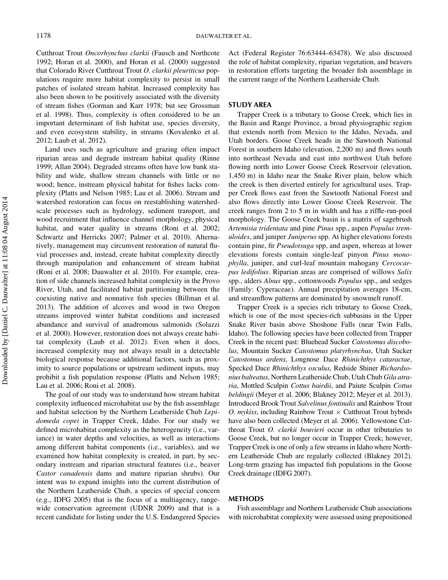Cutthroat Trout Oncorhynchus clarkii (Fausch and Northcote 1992; Horan et al. 2000), and Horan et al. (2000) suggested that Colorado River Cutthroat Trout O. clarkii pleuriticus populations require more habitat complexity to persist in small patches of isolated stream habitat. Increased complexity has also been shown to be positively associated with the diversity of stream fishes (Gorman and Karr 1978; but see Grossman et al. 1998). Thus, complexity is often considered to be an important determinant of fish habitat use, species diversity, and even ecosystem stability, in streams (Kovalenko et al. 2012; Laub et al. 2012).

Land uses such as agriculture and grazing often impact riparian areas and degrade instream habitat quality (Rinne 1999; Allan 2004). Degraded streams often have low bank stability and wide, shallow stream channels with little or no wood; hence, instream physical habitat for fishes lacks complexity (Platts and Nelson 1985; Lau et al. 2006). Stream and watershed restoration can focus on reestablishing watershedscale processes such as hydrology, sediment transport, and wood recruitment that influence channel morphology, physical habitat, and water quality in streams (Roni et al. 2002; Schwartz and Herricks 2007; Palmer et al. 2010). Alternatively, management may circumvent restoration of natural fluvial processes and, instead, create habitat complexity directly through manipulation and enhancement of stream habitat (Roni et al. 2008; Dauwalter et al. 2010). For example, creation of side channels increased habitat complexity in the Provo River, Utah, and facilitated habitat partitioning between the coexisting native and nonnative fish species (Billman et al. 2013). The addition of alcoves and wood in two Oregon streams improved winter habitat conditions and increased abundance and survival of anadromous salmonids (Solazzi et al. 2000). However, restoration does not always create habitat complexity (Laub et al. 2012). Even when it does, increased complexity may not always result in a detectable biological response because additional factors, such as proximity to source populations or upstream sediment inputs, may prohibit a fish population response (Platts and Nelson 1985; Lau et al. 2006; Roni et al. 2008).

The goal of our study was to understand how stream habitat complexity influenced microhabitat use by the fish assemblage and habitat selection by the Northern Leatherside Chub Lepidomeda copei in Trapper Creek, Idaho. For our study we defined microhabitat complexity as the heterogeneity (i.e., variance) in water depths and velocities, as well as interactions among different habitat components (i.e., variables), and we examined how habitat complexity is created, in part, by secondary instream and riparian structural features (i.e., beaver Castor canadensis dams and mature riparian shrubs). Our intent was to expand insights into the current distribution of the Northern Leatherside Chub, a species of special concern (e.g., IDFG 2005) that is the focus of a multiagency, rangewide conservation agreement (UDNR 2009) and that is a recent candidate for listing under the U.S. Endangered Species

Act (Federal Register 76:63444–63478). We also discussed the role of habitat complexity, riparian vegetation, and beavers in restoration efforts targeting the broader fish assemblage in the current range of the Northern Leatherside Chub.

#### STUDY AREA

Trapper Creek is a tributary to Goose Creek, which lies in the Basin and Range Province, a broad physiographic region that extends north from Mexico to the Idaho, Nevada, and Utah borders. Goose Creek heads in the Sawtooth National Forest in southern Idaho (elevation, 2,200 m) and flows south into northeast Nevada and east into northwest Utah before flowing north into Lower Goose Creek Reservoir (elevation, 1,450 m) in Idaho near the Snake River plain, below which the creek is then diverted entirely for agricultural uses. Trapper Creek flows east from the Sawtooth National Forest and also flows directly into Lower Goose Creek Reservoir. The creek ranges from 2 to 5 m in width and has a riffle-run-pool morphology. The Goose Creek basin is a matrix of sagebrush Artemisia tridentata and pine Pinus spp., aspen Populus tremuloides, and juniper Juniperus spp. At higher elevations forests contain pine, fir Pseudotsuga spp, and aspen, whereas at lower elevations forests contain single-leaf pinyon Pinus monophylla, juniper, and curl-leaf mountain mahogany Cercocarpus ledifolius. Riparian areas are comprised of willows Salix spp., alders Alnus spp., cottonwoods Populus spp., and sedges (Family: Cyperaceae). Annual precipitation averages 18-cm, and streamflow patterns are dominated by snowmelt runoff.

Trapper Creek is a species rich tributary to Goose Creek, which is one of the most species-rich subbasins in the Upper Snake River basin above Shoshone Falls (near Twin Falls, Idaho). The following species have been collected from Trapper Creek in the recent past: Bluehead Sucker Catostomus discobolus, Mountain Sucker Catostomus platyrhynchus, Utah Sucker Catostomus ardens, Longnose Dace Rhinichthys cataractae, Specked Dace Rhinichthys osculus, Redside Shiner Richardsonius balteatus, Northern Leatherside Chub, Utah Chub Gila atraria, Mottled Sculpin Cottus bairdii, and Paiute Sculpin Cottus beldingii (Meyer et al. 2006; Blakney 2012; Meyer et al. 2013). Introduced Brook Trout Salvelinus fontinalis and Rainbow Trout O. mykiss, including Rainbow Trout  $\times$  Cutthroat Trout hybrids have also been collected (Meyer et al. 2006). Yellowstone Cutthroat Trout O. clarkii bouvieri occur in other tributaries to Goose Creek, but no longer occur in Trapper Creek; however, Trapper Creek is one of only a few streams in Idaho where Northern Leatherside Chub are regularly collected (Blakney 2012). Long-term grazing has impacted fish populations in the Goose Creek drainage (IDFG 2007).

#### METHODS

Fish assemblage and Northern Leatherside Chub associations with microhabitat complexity were assessed using prepositioned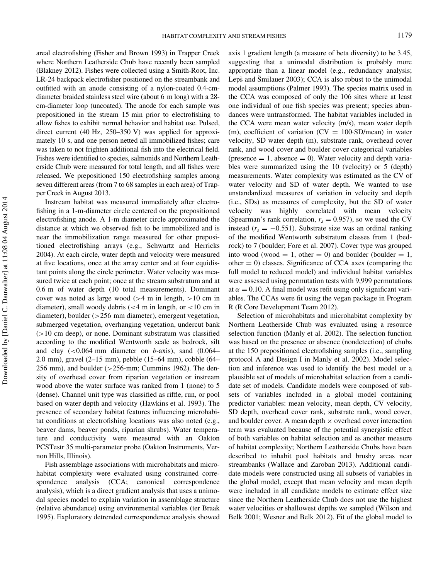areal electrofishing (Fisher and Brown 1993) in Trapper Creek where Northern Leatherside Chub have recently been sampled (Blakney 2012). Fishes were collected using a Smith-Root, Inc. LR-24 backpack electrofisher positioned on the streambank and outfitted with an anode consisting of a nylon-coated 0.4-cmdiameter braided stainless steel wire (about 6 m long) with a 28 cm-diameter loop (uncoated). The anode for each sample was prepositioned in the stream 15 min prior to electrofishing to allow fishes to exhibit normal behavior and habitat use. Pulsed, direct current (40 Hz, 250–350 V) was applied for approximately 10 s, and one person netted all immobilized fishes; care was taken to not frighten additional fish into the electrical field. Fishes were identified to species, salmonids and Northern Leatherside Chub were measured for total length, and all fishes were released. We prepositioned 150 electrofishing samples among seven different areas (from 7 to 68 samples in each area) of Trapper Creek in August 2013.

Instream habitat was measured immediately after electrofishing in a 1-m-diameter circle centered on the prepositioned electrofishing anode. A 1-m diameter circle approximated the distance at which we observed fish to be immobilized and is near the immobilization range measured for other prepositioned electrofishing arrays (e.g., Schwartz and Herricks 2004). At each circle, water depth and velocity were measured at five locations, once at the array center and at four equidistant points along the circle perimeter. Water velocity was measured twice at each point; once at the stream substratum and at 0.6 m of water depth (10 total measurements). Dominant cover was noted as large wood  $(>4 \text{ m in length}, >10 \text{ cm in})$ diameter), small woody debris  $\left($  <4 m in length, or  $\left($  <10 cm in diameter), boulder (>256 mm diameter), emergent vegetation, submerged vegetation, overhanging vegetation, undercut bank (>10 cm deep), or none. Dominant substratum was classified according to the modified Wentworth scale as bedrock, silt and clay  $(<0.064$  mm diameter on b-axis), sand  $(0.064-$ 2.0 mm), gravel (2–15 mm), pebble (15–64 mm), cobble (64– 256 mm), and boulder  $(>256$ -mm; Cummins 1962). The density of overhead cover from riparian vegetation or instream wood above the water surface was ranked from 1 (none) to 5 (dense). Channel unit type was classified as riffle, run, or pool based on water depth and velocity (Hawkins et al. 1993). The presence of secondary habitat features influencing microhabitat conditions at electrofishing locations was also noted (e.g., beaver dams, beaver ponds, riparian shrubs). Water temperature and conductivity were measured with an Oakton PCSTestr 35 multi-parameter probe (Oakton Instruments, Vernon Hills, Illinois).

Fish assemblage associations with microhabitats and microhabitat complexity were evaluated using constrained correspondence analysis (CCA; canonical correspondence analysis), which is a direct gradient analysis that uses a unimodal species model to explain variation in assemblage structure (relative abundance) using environmental variables (ter Braak 1995). Exploratory detrended correspondence analysis showed axis 1 gradient length (a measure of beta diversity) to be 3.45, suggesting that a unimodal distribution is probably more appropriate than a linear model (e.g., redundancy analysis; Leps and Smilauer 2003); CCA is also robust to the unimodal model assumptions (Palmer 1993). The species matrix used in the CCA was composed of only the 106 sites where at least one individual of one fish species was present; species abundances were untransformed. The habitat variables included in the CCA were mean water velocity (m/s), mean water depth (m), coefficient of variation ( $CV = 100·SD/mean$ ) in water velocity, SD water depth (m), substrate rank, overhead cover rank, and wood cover and boulder cover categorical variables (presence  $= 1$ , absence  $= 0$ ). Water velocity and depth variables were summarized using the 10 (velocity) or 5 (depth) measurements. Water complexity was estimated as the CV of water velocity and SD of water depth. We wanted to use unstandardized measures of variation in velocity and depth (i.e., SDs) as measures of complexity, but the SD of water velocity was highly correlated with mean velocity (Spearman's rank correlation,  $r_s = 0.957$ ), so we used the CV instead ( $r_s = -0.551$ ). Substrate size was an ordinal ranking of the modified Wentworth substratum classes from 1 (bedrock) to 7 (boulder; Fore et al. 2007). Cover type was grouped into wood (wood  $= 1$ , other  $= 0$ ) and boulder (boulder  $= 1$ , other  $= 0$ ) classes. Significance of CCA axes (comparing the full model to reduced model) and individual habitat variables were assessed using permutation tests with 9,999 permutations at  $\alpha = 0.10$ . A final model was refit using only significant variables. The CCAs were fit using the vegan package in Program R (R Core Development Team 2012).

Selection of microhabitats and microhabitat complexity by Northern Leatherside Chub was evaluated using a resource selection function (Manly et al. 2002). The selection function was based on the presence or absence (nondetection) of chubs at the 150 prepositioned electrofishing samples (i.e., sampling protocol A and Design I in Manly et al. 2002). Model selection and inference was used to identify the best model or a plausible set of models of microhabitat selection from a candidate set of models. Candidate models were composed of subsets of variables included in a global model containing predictor variables: mean velocity, mean depth, CV velocity, SD depth, overhead cover rank, substrate rank, wood cover, and boulder cover. A mean depth  $\times$  overhead cover interaction term was evaluated because of the potential synergistic effect of both variables on habitat selection and as another measure of habitat complexity; Northern Leatherside Chubs have been described to inhabit pool habitats and brushy areas near streambanks (Wallace and Zaroban 2013). Additional candidate models were constructed using all subsets of variables in the global model, except that mean velocity and mean depth were included in all candidate models to estimate effect size since the Northern Leatherside Chub does not use the highest water velocities or shallowest depths we sampled (Wilson and Belk 2001; Wesner and Belk 2012). Fit of the global model to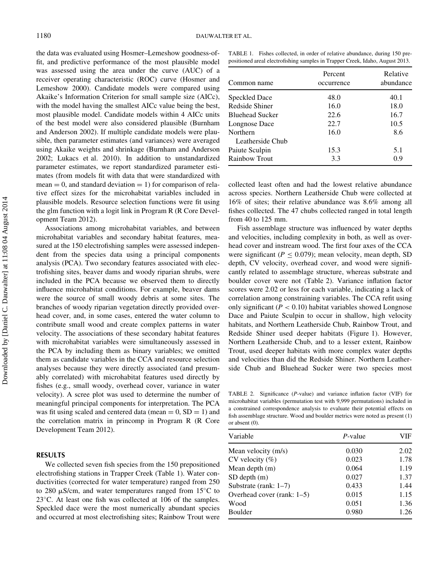the data was evaluated using Hosmer–Lemeshow goodness-offit, and predictive performance of the most plausible model was assessed using the area under the curve (AUC) of a receiver operating characteristic (ROC) curve (Hosmer and Lemeshow 2000). Candidate models were compared using Akaike's Information Criterion for small sample size (AICc), with the model having the smallest AICc value being the best, most plausible model. Candidate models within 4 AICc units of the best model were also considered plausible (Burnham and Anderson 2002). If multiple candidate models were plausible, then parameter estimates (and variances) were averaged using Akaike weights and shrinkage (Burnham and Anderson 2002; Lukacs et al. 2010). In addition to unstandardized parameter estimates, we report standardized parameter estimates (from models fit with data that were standardized with  $mean = 0$ , and standard deviation  $= 1$ ) for comparison of relative effect sizes for the microhabitat variables included in plausible models. Resource selection functions were fit using the glm function with a logit link in Program R (R Core Development Team 2012).

Associations among microhabitat variables, and between microhabitat variables and secondary habitat features, measured at the 150 electrofishing samples were assessed independent from the species data using a principal components analysis (PCA). Two secondary features associated with electrofishing sites, beaver dams and woody riparian shrubs, were included in the PCA because we observed them to directly influence microhabitat conditions. For example, beaver dams were the source of small woody debris at some sites. The branches of woody riparian vegetation directly provided overhead cover, and, in some cases, entered the water column to contribute small wood and create complex patterns in water velocity. The associations of these secondary habitat features with microhabitat variables were simultaneously assessed in the PCA by including them as binary variables; we omitted them as candidate variables in the CCA and resource selection analyses because they were directly associated (and presumably correlated) with microhabitat features used directly by fishes (e.g., small woody, overhead cover, variance in water velocity). A scree plot was used to determine the number of meaningful principal components for interpretation. The PCA was fit using scaled and centered data (mean  $= 0$ , SD  $= 1$ ) and the correlation matrix in princomp in Program R (R Core Development Team 2012).

#### RESULTS

We collected seven fish species from the 150 prepositioned electrofishing stations in Trapper Creek (Table 1). Water conductivities (corrected for water temperature) ranged from 250 to 280  $\mu$ S/cm, and water temperatures ranged from 15°C to  $23^{\circ}$ C. At least one fish was collected at 106 of the samples. Speckled dace were the most numerically abundant species and occurred at most electrofishing sites; Rainbow Trout were TABLE 1. Fishes collected, in order of relative abundance, during 150 prepositioned areal electrofishing samples in Trapper Creek, Idaho, August 2013.

| Common name            | Percent<br>occurrence | Relative<br>abundance |  |  |
|------------------------|-----------------------|-----------------------|--|--|
| Speckled Dace          | 48.0                  | 40.1                  |  |  |
| Redside Shiner         | 16.0                  | 18.0                  |  |  |
| <b>Bluehead Sucker</b> | 22.6                  | 16.7                  |  |  |
| Longnose Dace          | 22.7                  | 10.5                  |  |  |
| Northern               | 16.0                  | 8.6                   |  |  |
| Leatherside Chub       |                       |                       |  |  |
| Paiute Sculpin         | 15.3                  | 5.1                   |  |  |
| <b>Rainbow Trout</b>   | 3.3                   | 0.9                   |  |  |

collected least often and had the lowest relative abundance across species. Northern Leatherside Chub were collected at 16% of sites; their relative abundance was 8.6% among all fishes collected. The 47 chubs collected ranged in total length from 40 to 125 mm.

Fish assemblage structure was influenced by water depths and velocities, including complexity in both, as well as overhead cover and instream wood. The first four axes of the CCA were significant ( $P \leq 0.079$ ); mean velocity, mean depth, SD depth, CV velocity, overhead cover, and wood were significantly related to assemblage structure, whereas substrate and boulder cover were not (Table 2). Variance inflation factor scores were 2.02 or less for each variable, indicating a lack of correlation among constraining variables. The CCA refit using only significant ( $P < 0.10$ ) habitat variables showed Longnose Dace and Paiute Sculpin to occur in shallow, high velocity habitats, and Northern Leatherside Chub, Rainbow Trout, and Redside Shiner used deeper habitats (Figure 1). However, Northern Leatherside Chub, and to a lesser extent, Rainbow Trout, used deeper habitats with more complex water depths and velocities than did the Redside Shiner. Northern Leatherside Chub and Bluehead Sucker were two species most

TABLE 2. Significance (P-value) and variance inflation factor (VIF) for microhabitat variables (permutation test with 9,999 permutations) included in a constrained correspondence analysis to evaluate their potential effects on fish assemblage structure. Wood and boulder metrics were noted as present (1) or absent (0).

| Variable                      | $P$ -value | VIF  |
|-------------------------------|------------|------|
| Mean velocity (m/s)           | 0.030      | 2.02 |
| CV velocity $(\%)$            | 0.023      | 1.78 |
| Mean depth (m)                | 0.064      | 1.19 |
| $SD$ depth $(m)$              | 0.027      | 1.37 |
| Substrate (rank: $1-7$ )      | 0.433      | 1.44 |
| Overhead cover (rank: $1-5$ ) | 0.015      | 1.15 |
| Wood                          | 0.051      | 1.36 |
| <b>Boulder</b>                | 0.980      | 1.26 |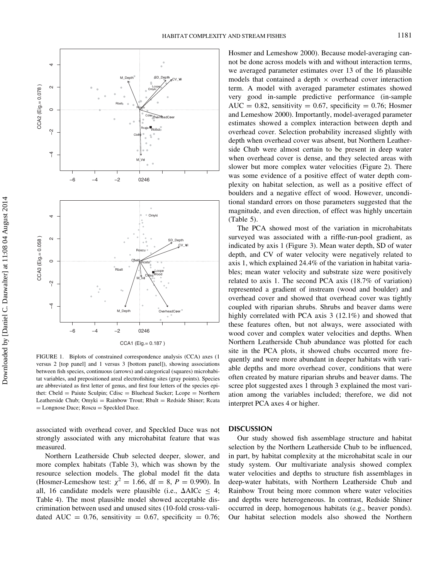

FIGURE 1. Biplots of constrained correspondence analysis (CCA) axes (1 versus 2 [top panel] and 1 versus 3 [bottom panel]), showing associations between fish species, continuous (arrows) and categorical (squares) microhabitat variables, and prepositioned areal electrofishing sites (gray points). Species are abbreviated as first letter of genus, and first four letters of the species epithet: Cbeld  $=$  Paiute Sculpin; Cdisc  $=$  Bluehead Sucker; Lcope  $=$  Northern Leatherside Chub; Omyki = Rainbow Trout; Rbalt = Redside Shiner; Rcata  $=$  Longnose Dace; Roscu  $=$  Speckled Dace.

associated with overhead cover, and Speckled Dace was not strongly associated with any microhabitat feature that was measured.

Northern Leatherside Chub selected deeper, slower, and more complex habitats (Table 3), which was shown by the resource selection models. The global model fit the data (Hosmer-Lemeshow test:  $\chi^2 = 1.66$ , df = 8, P = 0.990). In all, 16 candidate models were plausible (i.e.,  $\Delta AICc \leq 4$ ; Table 4). The most plausible model showed acceptable discrimination between used and unused sites (10-fold cross-validated AUC = 0.76, sensitivity = 0.67, specificity = 0.76; Hosmer and Lemeshow 2000). Because model-averaging cannot be done across models with and without interaction terms, we averaged parameter estimates over 13 of the 16 plausible models that contained a depth  $\times$  overhead cover interaction term. A model with averaged parameter estimates showed very good in-sample predictive performance (in-sample AUC = 0.82, sensitivity = 0.67, specificity = 0.76; Hosmer and Lemeshow 2000). Importantly, model-averaged parameter estimates showed a complex interaction between depth and overhead cover. Selection probability increased slightly with depth when overhead cover was absent, but Northern Leatherside Chub were almost certain to be present in deep water when overhead cover is dense, and they selected areas with slower but more complex water velocities (Figure 2). There was some evidence of a positive effect of water depth complexity on habitat selection, as well as a positive effect of boulders and a negative effect of wood. However, unconditional standard errors on those parameters suggested that the magnitude, and even direction, of effect was highly uncertain (Table 5).

The PCA showed most of the variation in microhabitats surveyed was associated with a riffle-run-pool gradient, as indicated by axis 1 (Figure 3). Mean water depth, SD of water depth, and CV of water velocity were negatively related to axis 1, which explained 24.4% of the variation in habitat variables; mean water velocity and substrate size were positively related to axis 1. The second PCA axis (18.7% of variation) represented a gradient of instream (wood and boulder) and overhead cover and showed that overhead cover was tightly coupled with riparian shrubs. Shrubs and beaver dams were highly correlated with PCA axis 3 (12.1%) and showed that these features often, but not always, were associated with wood cover and complex water velocities and depths. When Northern Leatherside Chub abundance was plotted for each site in the PCA plots, it showed chubs occurred more frequently and were more abundant in deeper habitats with variable depths and more overhead cover, conditions that were often created by mature riparian shrubs and beaver dams. The scree plot suggested axes 1 through 3 explained the most variation among the variables included; therefore, we did not interpret PCA axes 4 or higher.

#### **DISCUSSION**

Our study showed fish assemblage structure and habitat selection by the Northern Leatherside Chub to be influenced, in part, by habitat complexity at the microhabitat scale in our study system. Our multivariate analysis showed complex water velocities and depths to structure fish assemblages in deep-water habitats, with Northern Leatherside Chub and Rainbow Trout being more common where water velocities and depths were heterogeneous. In contrast, Redside Shiner occurred in deep, homogenous habitats (e.g., beaver ponds). Our habitat selection models also showed the Northern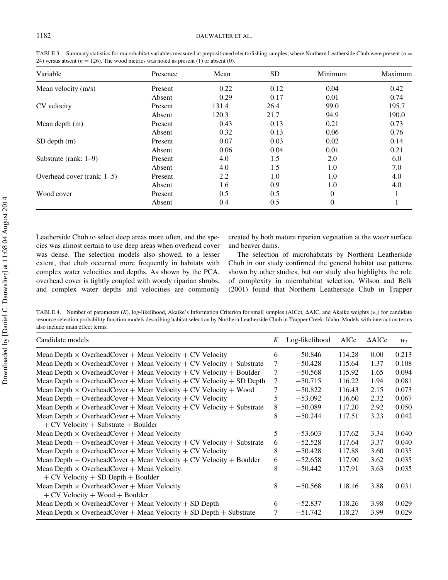Variable Presence Mean SD Minimum Maximum Mean velocity  $(m/s)$  Present 0.22 0.12 0.04 0.42 Absent 0.29 0.17 0.01 0.74 CV velocity **Present** 131.4 26.4 99.0 195.7 Absent 120.3 21.7 94.9 190.0 Mean depth (m) Present 0.43 0.13 0.21 0.73 Absent 0.32 0.13 0.06 0.76 SD depth (m) Present 0.07 0.03 0.02 0.14 Absent 0.06 0.04 0.01 0.21 Substrate (rank: 1–9) **Present** 4.0 1.5 2.0 6.0 Absent 4.0 1.5 1.0 7.0 Overhead cover (rank: 1–5) Present 2.2 1.0 1.0 4.0 Absent 1.6 0.9 1.0 4.0 Wood cover **Present**  $0.5$  0.5 0 1 Absent 0.4 0.5 0 1

TABLE 3. Summary statistics for microhabitat variables measured at prepositioned electrofishing samples, where Northern Leatherside Chub were present  $(n = 1, 2, 3)$ 24) versus absent ( $n = 126$ ). The wood metrics was noted as present (1) or absent (0).

Leatherside Chub to select deep areas more often, and the species was almost certain to use deep areas when overhead cover was dense. The selection models also showed, to a lesser extent, that chub occurred more frequently in habitats with complex water velocities and depths. As shown by the PCA, overhead cover is tightly coupled with woody riparian shrubs, and complex water depths and velocities are commonly

created by both mature riparian vegetation at the water surface and beaver dams.

The selection of microhabitats by Northern Leatherside Chub in our study confirmed the general habitat use patterns shown by other studies, but our study also highlights the role of complexity in microhabitat selection. Wilson and Belk (2001) found that Northern Leatherside Chub in Trapper

TABLE 4. Number of parameters  $(K)$ , log-likelihood, Akaike's Information Criterion for small samples (AICc),  $\Delta AIC$ , and Akaike weights  $(w_i)$  for candidate resource selection probability function models describing habitat selection by Northern Leatherside Chub in Trapper Creek, Idaho. Models with interaction terms also include main effect terms.

| Candidate models                                                            | K | Log-likelihood | AICc   | $\triangle$ AICc | $W_i$ |
|-----------------------------------------------------------------------------|---|----------------|--------|------------------|-------|
| Mean Depth $\times$ OverheadCover + Mean Velocity + CV Velocity             | 6 | $-50.846$      | 114.28 | 0.00             | 0.213 |
| Mean Depth $\times$ OverheadCover + Mean Velocity + CV Velocity + Substrate | 7 | $-50.428$      | 115.64 | 1.37             | 0.108 |
| Mean Depth $\times$ OverheadCover + Mean Velocity + CV Velocity + Boulder   | 7 | $-50.568$      | 115.92 | 1.65             | 0.094 |
| Mean Depth $\times$ OverheadCover + Mean Velocity + CV Velocity + SD Depth  | 7 | $-50.715$      | 116.22 | 1.94             | 0.081 |
| Mean Depth $\times$ OverheadCover + Mean Velocity + CV Velocity + Wood      | 7 | $-50.822$      | 116.43 | 2.15             | 0.073 |
| Mean Depth $+$ OverheadCover $+$ Mean Velocity $+$ CV Velocity              | 5 | $-53.092$      | 116.60 | 2.32             | 0.067 |
| Mean Depth $\times$ OverheadCover + Mean Velocity + CV Velocity + Substrate | 8 | $-50.089$      | 117.20 | 2.92             | 0.050 |
| Mean Depth $\times$ OverheadCover + Mean Velocity                           | 8 | $-50.244$      | 117.51 | 3.23             | 0.042 |
| $+$ CV Velocity $+$ Substrate $+$ Boulder                                   |   |                |        |                  |       |
| Mean Depth $\times$ OverheadCover + Mean Velocity                           | 5 | $-53.603$      | 117.62 | 3.34             | 0.040 |
| Mean Depth + OverheadCover + Mean Velocity + CV Velocity + Substrate        | 6 | $-52.528$      | 117.64 | 3.37             | 0.040 |
| Mean Depth $\times$ OverheadCover + Mean Velocity + CV Velocity             | 8 | $-50.428$      | 117.88 | 3.60             | 0.035 |
| Mean Depth + OverheadCover + Mean Velocity + CV Velocity + Boulder          | 6 | $-52.658$      | 117.90 | 3.62             | 0.035 |
| Mean Depth $\times$ OverheadCover + Mean Velocity                           | 8 | $-50.442$      | 117.91 | 3.63             | 0.035 |
| $+$ CV Velocity $+$ SD Depth $+$ Boulder                                    |   |                |        |                  |       |
| Mean Depth $\times$ OverheadCover + Mean Velocity                           | 8 | $-50.568$      | 118.16 | 3.88             | 0.031 |
| $+$ CV Velocity $+$ Wood $+$ Boulder                                        |   |                |        |                  |       |
| Mean Depth $\times$ OverheadCover + Mean Velocity + SD Depth                | 6 | $-52.837$      | 118.26 | 3.98             | 0.029 |
| Mean Depth $\times$ OverheadCover + Mean Velocity + SD Depth + Substrate    | 7 | $-51.742$      | 118.27 | 3.99             | 0.029 |
|                                                                             |   |                |        |                  |       |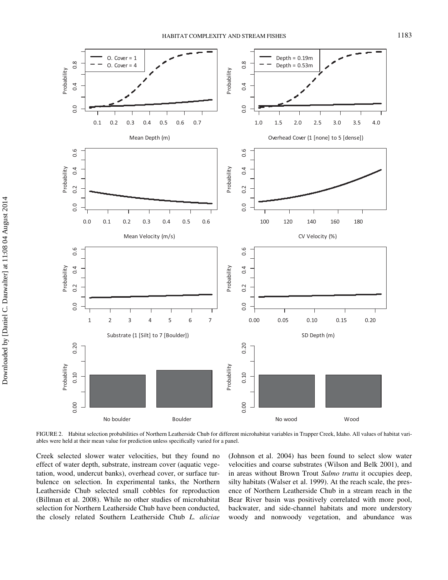

FIGURE 2. Habitat selection probabilities of Northern Leatherside Chub for different microhabitat variables in Trapper Creek, Idaho. All values of habitat variables were held at their mean value for prediction unless specifically varied for a panel.

Creek selected slower water velocities, but they found no effect of water depth, substrate, instream cover (aquatic vegetation, wood, undercut banks), overhead cover, or surface turbulence on selection. In experimental tanks, the Northern Leatherside Chub selected small cobbles for reproduction (Billman et al. 2008). While no other studies of microhabitat selection for Northern Leatherside Chub have been conducted, the closely related Southern Leatherside Chub L. aliciae (Johnson et al. 2004) has been found to select slow water velocities and coarse substrates (Wilson and Belk 2001), and in areas without Brown Trout Salmo trutta it occupies deep, silty habitats (Walser et al. 1999). At the reach scale, the presence of Northern Leatherside Chub in a stream reach in the Bear River basin was positively correlated with more pool, backwater, and side-channel habitats and more understory woody and nonwoody vegetation, and abundance was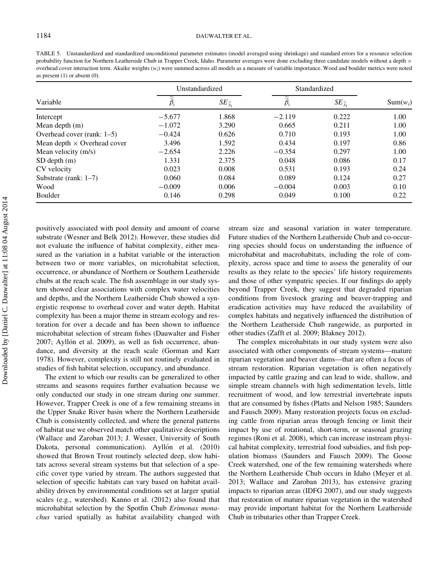#### 1184 DAUWALTER ET AL.

TABLE 5. Unstandardized and standardized unconditional parameter estimates (model averaged using shrinkage) and standard errors for a resource selection probability function for Northern Leatherside Chub in Trapper Creek, Idaho. Parameter averages were done excluding three candidate models without a depth  $\times$ overhead cover interaction term. Akaike weights  $(w_i)$  were summed across all models as a measure of variable importance. Wood and boulder metrics were noted as present  $(1)$  or absent  $(0)$ .

| Variable                           | Unstandardized               |                                  | Standardized |                                  |            |
|------------------------------------|------------------------------|----------------------------------|--------------|----------------------------------|------------|
|                                    | $\overline{\tilde{\beta}}_l$ | $SE_{\frac{\approx}{\beta_{l}}}$ |              | $SE_{\frac{\approx}{\beta_{l}}}$ | $Sum(w_i)$ |
| Intercept                          | $-5.677$                     | 1.868                            | $-2.119$     | 0.222                            | 1.00       |
| Mean depth $(m)$                   | $-1.072$                     | 3.290                            | 0.665        | 0.211                            | 1.00       |
| Overhead cover (rank: $1-5$ )      | $-0.424$                     | 0.626                            | 0.710        | 0.193                            | 1.00       |
| Mean depth $\times$ Overhead cover | 3.496                        | 1.592                            | 0.434        | 0.197                            | 0.86       |
| Mean velocity (m/s)                | $-2.654$                     | 2.226                            | $-0.354$     | 0.297                            | 1.00       |
| $SD$ depth $(m)$                   | 1.331                        | 2.375                            | 0.048        | 0.086                            | 0.17       |
| CV velocity                        | 0.023                        | 0.008                            | 0.531        | 0.193                            | 0.24       |
| Substrate (rank: $1-7$ )           | 0.060                        | 0.084                            | 0.089        | 0.124                            | 0.27       |
| Wood                               | $-0.009$                     | 0.006                            | $-0.004$     | 0.003                            | 0.10       |
| Boulder                            | 0.146                        | 0.298                            | 0.049        | 0.100                            | 0.22       |

positively associated with pool density and amount of coarse substrate (Wesner and Belk 2012). However, these studies did not evaluate the influence of habitat complexity, either measured as the variation in a habitat variable or the interaction between two or more variables, on microhabitat selection, occurrence, or abundance of Northern or Southern Leatherside chubs at the reach scale. The fish assemblage in our study system showed clear associations with complex water velocities and depths, and the Northern Leatherside Chub showed a synergistic response to overhead cover and water depth. Habitat complexity has been a major theme in stream ecology and restoration for over a decade and has been shown to influence microhabitat selection of stream fishes (Dauwalter and Fisher 2007; Ayllón et al. 2009), as well as fish occurrence, abundance, and diversity at the reach scale (Gorman and Karr 1978). However, complexity is still not routinely evaluated in studies of fish habitat selection, occupancy, and abundance.

The extent to which our results can be generalized to other streams and seasons requires further evaluation because we only conducted our study in one stream during one summer. However, Trapper Creek is one of a few remaining streams in the Upper Snake River basin where the Northern Leatherside Chub is consistently collected, and where the general patterns of habitat use we observed match other qualitative descriptions (Wallace and Zaroban 2013; J. Wesner, University of South Dakota, personal communication). Ayllón et al. (2010) showed that Brown Trout routinely selected deep, slow habitats across several stream systems but that selection of a specific cover type varied by stream. The authors suggested that selection of specific habitats can vary based on habitat availability driven by environmental conditions set at larger spatial scales (e.g., watershed). Kanno et al. (2012) also found that microhabitat selection by the Spotfin Chub Erimonax monachus varied spatially as habitat availability changed with

stream size and seasonal variation in water temperature. Future studies of the Northern Leatherside Chub and co-occurring species should focus on understanding the influence of microhabitat and macrohabitats, including the role of complexity, across space and time to assess the generality of our results as they relate to the species' life history requirements and those of other sympatric species. If our findings do apply beyond Trapper Creek, they suggest that degraded riparian conditions from livestock grazing and beaver-trapping and eradication activities may have reduced the availability of complex habitats and negatively influenced the distribution of the Northern Leatherside Chub rangewide, as purported in other studies (Zafft et al. 2009; Blakney 2012).

The complex microhabitats in our study system were also associated with other components of stream systems—mature riparian vegetation and beaver dams—that are often a focus of stream restoration. Riparian vegetation is often negatively impacted by cattle grazing and can lead to wide, shallow, and simple stream channels with high sedimentation levels, little recruitment of wood, and low terrestrial invertebrate inputs that are consumed by fishes (Platts and Nelson 1985; Saunders and Fausch 2009). Many restoration projects focus on excluding cattle from riparian areas through fencing or limit their impact by use of rotational, short-term, or seasonal grazing regimes (Roni et al. 2008), which can increase instream physical habitat complexity, terrestrial food subsidies, and fish population biomass (Saunders and Fausch 2009). The Goose Creek watershed, one of the few remaining watersheds where the Northern Leatherside Chub occurs in Idaho (Meyer et al. 2013; Wallace and Zaroban 2013), has extensive grazing impacts to riparian areas (IDFG 2007), and our study suggests that restoration of mature riparian vegetation in the watershed may provide important habitat for the Northern Leatherside Chub in tributaries other than Trapper Creek.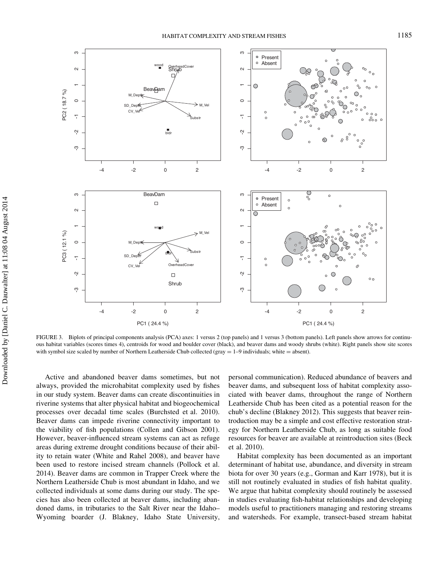

FIGURE 3. Biplots of principal components analysis (PCA) axes: 1 versus 2 (top panels) and 1 versus 3 (bottom panels). Left panels show arrows for continuous habitat variables (scores times 4), centroids for wood and boulder cover (black), and beaver dams and woody shrubs (white). Right panels show site scores with symbol size scaled by number of Northern Leatherside Chub collected (gray  $= 1$ –9 individuals; white  $=$  absent).

Active and abandoned beaver dams sometimes, but not always, provided the microhabitat complexity used by fishes in our study system. Beaver dams can create discontinuities in riverine systems that alter physical habitat and biogeochemical processes over decadal time scales (Burchsted et al. 2010). Beaver dams can impede riverine connectivity important to the viability of fish populations (Collen and Gibson 2001). However, beaver-influenced stream systems can act as refuge areas during extreme drought conditions because of their ability to retain water (White and Rahel 2008), and beaver have been used to restore incised stream channels (Pollock et al. 2014). Beaver dams are common in Trapper Creek where the Northern Leatherside Chub is most abundant in Idaho, and we collected individuals at some dams during our study. The species has also been collected at beaver dams, including abandoned dams, in tributaries to the Salt River near the Idaho– Wyoming boarder (J. Blakney, Idaho State University, personal communication). Reduced abundance of beavers and beaver dams, and subsequent loss of habitat complexity associated with beaver dams, throughout the range of Northern Leatherside Chub has been cited as a potential reason for the chub's decline (Blakney 2012). This suggests that beaver reintroduction may be a simple and cost effective restoration strategy for Northern Leatherside Chub, as long as suitable food resources for beaver are available at reintroduction sites (Beck et al. 2010).

Habitat complexity has been documented as an important determinant of habitat use, abundance, and diversity in stream biota for over 30 years (e.g., Gorman and Karr 1978), but it is still not routinely evaluated in studies of fish habitat quality. We argue that habitat complexity should routinely be assessed in studies evaluating fish-habitat relationships and developing models useful to practitioners managing and restoring streams and watersheds. For example, transect-based stream habitat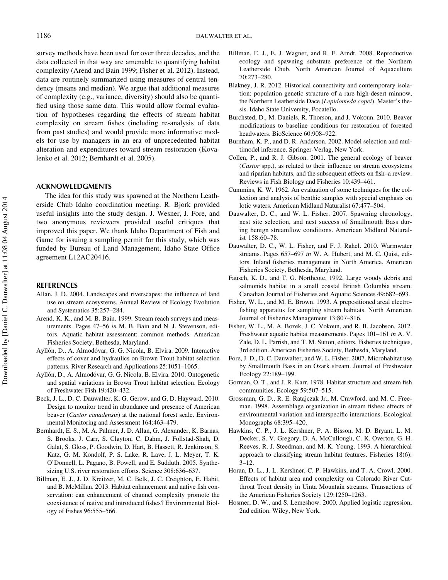survey methods have been used for over three decades, and the data collected in that way are amenable to quantifying habitat complexity (Arend and Bain 1999; Fisher et al. 2012). Instead, data are routinely summarized using measures of central tendency (means and median). We argue that additional measures of complexity (e.g., variance, diversity) should also be quantified using those same data. This would allow formal evaluation of hypotheses regarding the effects of stream habitat complexity on stream fishes (including re-analysis of data from past studies) and would provide more informative models for use by managers in an era of unprecedented habitat alteration and expenditures toward stream restoration (Kovalenko et al. 2012; Bernhardt et al. 2005).

#### ACKNOWLEDGMENTS

The idea for this study was spawned at the Northern Leatherside Chub Idaho coordination meeting. R. Bjork provided useful insights into the study design. J. Wesner, J. Fore, and two anonymous reviewers provided useful critiques that improved this paper. We thank Idaho Department of Fish and Game for issuing a sampling permit for this study, which was funded by Bureau of Land Management, Idaho State Office agreement L12AC20416.

#### REFERENCES

- Allan, J. D. 2004. Landscapes and riverscapes: the influence of land use on stream ecosystems. Annual Review of Ecology Evolution and Systematics 35:257–284.
- Arend, K. K., and M. B. Bain. 1999. Stream reach surveys and measurements. Pages 47–56 in M. B. Bain and N. J. Stevenson, editors. Aquatic habitat assessment: common methods. American Fisheries Society, Bethesda, Maryland.
- Ayllón, D., A. Almodóvar, G. G. Nicola, B. Elvira. 2009. Interactive effects of cover and hydraulics on Brown Trout habitat selection patterns. River Research and Applications 25:1051–1065.
- Ayllón, D., A. Almodóvar, G. G. Nicola, B. Elvira. 2010. Ontogenetic and spatial variations in Brown Trout habitat selection. Ecology of Freshwater Fish 19:420–432.
- Beck, J. L., D. C. Dauwalter, K. G. Gerow, and G. D. Hayward. 2010. Design to monitor trend in abundance and presence of American beaver (Castor canadensis) at the national forest scale. Environmental Monitoring and Assessment 164:463–479.
- Bernhardt, E. S., M. A. Palmer, J. D. Allan, G. Alexander, K. Barnas, S. Brooks, J. Carr, S. Clayton, C. Dahm, J. Follstad-Shah, D. Galat, S. Gloss, P. Goodwin, D. Hart, B. Hassett, R. Jenkinson, S. Katz, G. M. Kondolf, P. S. Lake, R. Lave, J. L. Meyer, T. K. O'Donnell, L. Pagano, B. Powell, and E. Sudduth. 2005. Synthesizing U.S. river restoration efforts. Science 308:636–637.
- Billman, E. J., J. D. Kreitzer, M. C. Belk, J. C. Creighton, E. Habit, and B. McMillan. 2013. Habitat enhancement and native fish conservation: can enhancement of channel complexity promote the coexistence of native and introduced fishes? Environmental Biology of Fishes 96:555–566.
- Billman, E. J., E. J. Wagner, and R. E. Arndt. 2008. Reproductive ecology and spawning substrate preference of the Northern Leatherside Chub. North American Journal of Aquaculture 70:273–280.
- Blakney, J. R. 2012. Historical connectivity and contemporary isolation: population genetic structure of a rare high-desert minnow, the Northern Leatherside Dace (Lepidomeda copei). Master's thesis. Idaho State University, Pocatello.
- Burchsted, D., M. Daniels, R. Thorson, and J. Vokoun. 2010. Beaver modifications to baseline conditions for restoration of forested headwaters. BioScience 60:908–922.
- Burnham, K. P., and D. R. Anderson. 2002. Model selection and multimodel inference. Springer-Verlag, New York.
- Collen, P., and R. J. Gibson. 2001. The general ecology of beaver (Castor spp.), as related to their influence on stream ecosystems and riparian habitats, and the subsequent effects on fish–a review. Reviews in Fish Biology and Fisheries 10:439–461.
- Cummins, K. W. 1962. An evaluation of some techniques for the collection and analysis of benthic samples with special emphasis on lotic waters. American Midland Naturalist 67:477–504.
- Dauwalter, D. C., and W. L. Fisher. 2007. Spawning chronology, nest site selection, and nest success of Smallmouth Bass during benign streamflow conditions. American Midland Naturalist 158:60–78.
- Dauwalter, D. C., W. L. Fisher, and F. J. Rahel. 2010. Warmwater streams. Pages 657–697 in W. A. Hubert, and M. C. Quist, editors. Inland fisheries management in North America. American Fisheries Society, Bethesda, Maryland.
- Fausch, K. D., and T. G. Northcote. 1992. Large woody debris and salmonids habitat in a small coastal British Columbia stream. Canadian Journal of Fisheries and Aquatic Sciences 49:682–693.
- Fisher, W. L., and M. E. Brown. 1993. A prepositioned areal electrofishing apparatus for sampling stream habitats. North American Journal of Fisheries Management 13:807–816.
- Fisher, W. L., M. A. Bozek, J. C. Vokoun, and R. B. Jacobson. 2012. Freshwater aquatic habitat measurements. Pages 101–161 in A. V. Zale, D. L. Parrish, and T. M. Sutton, editors. Fisheries techniques, 3rd edition. American Fisheries Society, Bethesda, Maryland.
- Fore, J. D., D. C. Dauwalter, and W. L. Fisher. 2007. Microhabitat use by Smallmouth Bass in an Ozark stream. Journal of Freshwater Ecology 22:189–199.
- Gorman, O. T., and J. R. Karr. 1978. Habitat structure and stream fish communities. Ecology 59:507–515.
- Grossman, G. D., R. E. Ratajczak Jr., M. Crawford, and M. C. Freeman. 1998. Assemblage organization in stream fishes: effects of environmental variation and interspecific interactions. Ecological Monographs 68:395–420.
- Hawkins, C. P., J. L. Kershner, P. A. Bisson, M. D. Bryant, L. M. Decker, S. V. Gregory, D. A. McCullough, C. K. Overton, G. H. Reeves, R. J. Steedman, and M. K. Young. 1993. A hierarchical approach to classifying stream habitat features. Fisheries 18(6):  $3 - 12$ .
- Horan, D. L., J. L. Kershner, C. P. Hawkins, and T. A. Crowl. 2000. Effects of habitat area and complexity on Colorado River Cutthroat Trout density in Uinta Mountain streams. Transactions of the American Fisheries Society 129:1250–1263.
- Hosmer, D. W., and S. Lemeshow. 2000. Applied logistic regression, 2nd edition. Wiley, New York.